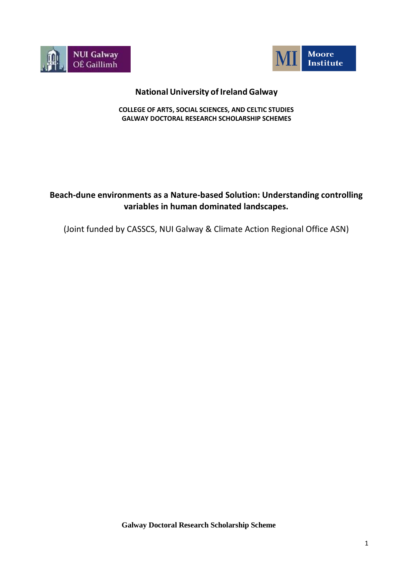



## **National University of Ireland Galway**

**COLLEGE OF ARTS, SOCIAL SCIENCES, AND CELTIC STUDIES GALWAY DOCTORAL RESEARCH SCHOLARSHIP SCHEMES**

# **Beach-dune environments as a Nature-based Solution: Understanding controlling variables in human dominated landscapes.**

(Joint funded by CASSCS, NUI Galway & Climate Action Regional Office ASN)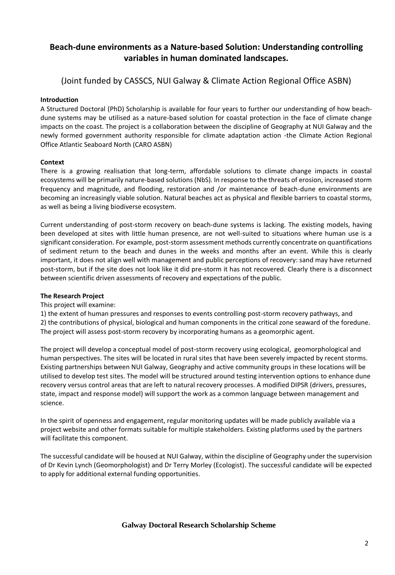## **Beach-dune environments as a Nature-based Solution: Understanding controlling variables in human dominated landscapes.**

(Joint funded by CASSCS, NUI Galway & Climate Action Regional Office ASBN)

## **Introduction**

A Structured Doctoral (PhD) Scholarship is available for four years to further our understanding of how beachdune systems may be utilised as a nature-based solution for coastal protection in the face of climate change impacts on the coast. The project is a collaboration between the discipline of Geography at NUI Galway and the newly formed government authority responsible for climate adaptation action -the Climate Action Regional Office Atlantic Seaboard North (CARO ASBN)

### **Context**

There is a growing realisation that long-term, affordable solutions to climate change impacts in coastal ecosystems will be primarily nature-based solutions (NbS). In response to the threats of erosion, increased storm frequency and magnitude, and flooding, restoration and /or maintenance of beach-dune environments are becoming an increasingly viable solution. Natural beaches act as physical and flexible barriers to coastal storms, as well as being a living biodiverse ecosystem.

Current understanding of post-storm recovery on beach-dune systems is lacking. The existing models, having been developed at sites with little human presence, are not well-suited to situations where human use is a significant consideration. For example, post-storm assessment methods currently concentrate on quantifications of sediment return to the beach and dunes in the weeks and months after an event. While this is clearly important, it does not align well with management and public perceptions of recovery: sand may have returned post-storm, but if the site does not look like it did pre-storm it has not recovered. Clearly there is a disconnect between scientific driven assessments of recovery and expectations of the public.

#### **The Research Project**

#### This project will examine:

1) the extent of human pressures and responses to events controlling post-storm recovery pathways, and 2) the contributions of physical, biological and human components in the critical zone seaward of the foredune. The project will assess post-storm recovery by incorporating humans as a geomorphic agent.

The project will develop a conceptual model of post-storm recovery using ecological, geomorphological and human perspectives. The sites will be located in rural sites that have been severely impacted by recent storms. Existing partnerships between NUI Galway, Geography and active community groups in these locations will be utilised to develop test sites. The model will be structured around testing intervention options to enhance dune recovery versus control areas that are left to natural recovery processes. A modified DIPSR (drivers, pressures, state, impact and response model) will support the work as a common language between management and science.

In the spirit of openness and engagement, regular monitoring updates will be made publicly available via a project website and other formats suitable for multiple stakeholders. Existing platforms used by the partners will facilitate this component.

The successful candidate will be housed at NUI Galway, within the discipline of Geography under the supervision of Dr Kevin Lynch (Geomorphologist) and Dr Terry Morley (Ecologist). The successful candidate will be expected to apply for additional external funding opportunities.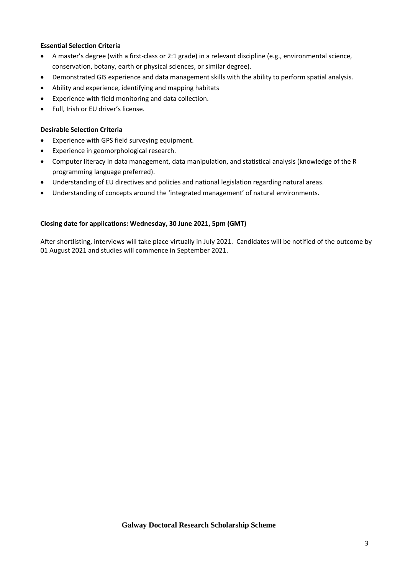## **Essential Selection Criteria**

- A master's degree (with a first-class or 2:1 grade) in a relevant discipline (e.g., environmental science, conservation, botany, earth or physical sciences, or similar degree).
- Demonstrated GIS experience and data management skills with the ability to perform spatial analysis.
- Ability and experience, identifying and mapping habitats
- Experience with field monitoring and data collection.
- Full, Irish or EU driver's license.

#### **Desirable Selection Criteria**

- Experience with GPS field surveying equipment.
- Experience in geomorphological research.
- Computer literacy in data management, data manipulation, and statistical analysis (knowledge of the R programming language preferred).
- Understanding of EU directives and policies and national legislation regarding natural areas.
- Understanding of concepts around the 'integrated management' of natural environments.

### **Closing date for applications: Wednesday, 30 June 2021, 5pm (GMT)**

After shortlisting, interviews will take place virtually in July 2021. Candidates will be notified of the outcome by 01 August 2021 and studies will commence in September 2021.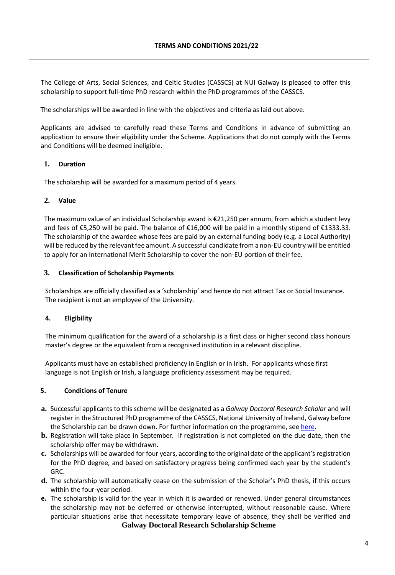The College of Arts, Social Sciences, and Celtic Studies (CASSCS) at NUI Galway is pleased to offer this scholarship to support full-time PhD research within the PhD programmes of the CASSCS.

The scholarships will be awarded in line with the objectives and criteria as laid out above.

Applicants are advised to carefully read these Terms and Conditions in advance of submitting an application to ensure their eligibility under the Scheme. Applications that do not comply with the Terms and Conditions will be deemed ineligible.

### **1. Duration**

The scholarship will be awarded for a maximum period of 4 years.

#### **2. Value**

The maximum value of an individual Scholarship award is €21,250 per annum, from which a student levy and fees of €5,250 will be paid. The balance of €16,000 will be paid in a monthly stipend of €1333.33. The scholarship of the awardee whose fees are paid by an external funding body (e.g. a Local Authority) will be reduced by the relevant fee amount. A successful candidate from a non-EU country will be entitled to apply for an International Merit Scholarship to cover the non-EU portion of their fee.

#### **3. Classification of Scholarship Payments**

Scholarships are officially classified as a 'scholarship' and hence do not attract Tax or Social Insurance. The recipient is not an employee of the University.

#### **4. Eligibility**

The minimum qualification for the award of a scholarship is a first class or higher second class honours master's degree or the equivalent from a recognised institution in a relevant discipline.

Applicants must have an established proficiency in English or in Irish. For applicants whose first language is not English or Irish, a language proficiency assessment may be required.

#### **5. Conditions of Tenure**

- **a.** Successful applicants to this scheme will be designated as a *Galway Doctoral Research Scholar* and will register in the Structured PhD programme of the CASSCS, National University of Ireland, Galway before the Scholarship can be drawn down. For further information on the programme, see [here.](http://www.nuigalway.ie/courses/research-postgraduate-programmes/structured-phd/history.html)
- **b.** Registration will take place in September. If registration is not completed on the due date, then the scholarship offer may be withdrawn.
- **c.** Scholarships will be awarded for four years, according to the original date of the applicant's registration for the PhD degree, and based on satisfactory progress being confirmed each year by the student's GRC.
- **d.** The scholarship will automatically cease on the submission of the Scholar's PhD thesis, if this occurs within the four-year period.
- **Galway Doctoral Research Scholarship Scheme e.** The scholarship is valid for the year in which it is awarded or renewed. Under general circumstances the scholarship may not be deferred or otherwise interrupted, without reasonable cause. Where particular situations arise that necessitate temporary leave of absence, they shall be verified and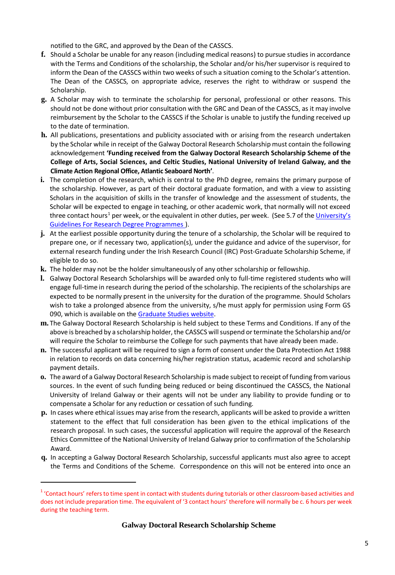notified to the GRC, and approved by the Dean of the CASSCS.

- **f.** Should a Scholar be unable for any reason (including medical reasons) to pursue studies in accordance with the Terms and Conditions of the scholarship, the Scholar and/or his/her supervisor is required to inform the Dean of the CASSCS within two weeks of such a situation coming to the Scholar's attention. The Dean of the CASSCS, on appropriate advice, reserves the right to withdraw or suspend the Scholarship.
- **g.** A Scholar may wish to terminate the scholarship for personal, professional or other reasons. This should not be done without prior consultation with the GRC and Dean of the CASSCS, as it may involve reimbursement by the Scholar to the CASSCS if the Scholar is unable to justify the funding received up to the date of termination.
- **h.** All publications, presentations and publicity associated with or arising from the research undertaken by the Scholar while in receipt of the Galway Doctoral Research Scholarship must contain the following acknowledgement **'Funding received from the Galway Doctoral Research Scholarship Scheme of the College of Arts, Social Sciences, and Celtic Studies, National University of Ireland Galway, and the Climate Action Regional Office, Atlantic Seaboard North'**.
- **i.** The completion of the research, which is central to the PhD degree, remains the primary purpose of the scholarship. However, as part of their doctoral graduate formation, and with a view to assisting Scholars in the acquisition of skills in the transfer of knowledge and the assessment of students, the Scholar will be expected to engage in teaching, or other academic work, that normally will not exceed three contact hours<sup>1</sup> per week, or the equivalent in other duties, per week. (See 5.7 of the *University's* [Guidelines For Research Degree Programmes \)](http://www.nuigalway.ie/media/graduatestudies/files/university_guidelines_for_research_degree_programmes.pdf).
- **j.** At the earliest possible opportunity during the tenure of a scholarship, the Scholar will be required to prepare one, or if necessary two, application(s), under the guidance and advice of the supervisor, for external research funding under the Irish Research Council (IRC) Post-Graduate Scholarship Scheme, if eligible to do so.
- **k.** The holder may not be the holder simultaneously of any other scholarship or fellowship.
- **l.** Galway Doctoral Research Scholarships will be awarded only to full-time registered students who will engage full-time in research during the period of the scholarship. The recipients of the scholarships are expected to be normally present in the university for the duration of the programme. Should Scholars wish to take a prolonged absence from the university, s/he must apply for permission using Form GS 090, which is available on the [Graduate](http://www.nuigalway.ie/graduatestudies/) Studies website.
- **m.** The Galway Doctoral Research Scholarship is held subject to these Terms and Conditions. If any of the above is breached by a scholarship holder, the CASSCS will suspend or terminate the Scholarship and/or will require the Scholar to reimburse the College for such payments that have already been made.
- **n.** The successful applicant will be required to sign a form of consent under the Data Protection Act 1988 in relation to records on data concerning his/her registration status, academic record and scholarship payment details.
- **o.** The award of a Galway Doctoral Research Scholarship is made subject to receipt of funding from various sources. In the event of such funding being reduced or being discontinued the CASSCS, the National University of Ireland Galway or their agents will not be under any liability to provide funding or to compensate a Scholar for any reduction or cessation of such funding.
- **p.** In cases where ethical issues may arise from the research, applicants will be asked to provide a written statement to the effect that full consideration has been given to the ethical implications of the research proposal. In such cases, the successful application will require the approval of the Research Ethics Committee of the National University of Ireland Galway prior to confirmation of the Scholarship Award.
- **q.** In accepting a Galway Doctoral Research Scholarship, successful applicants must also agree to accept the Terms and Conditions of the Scheme. Correspondence on this will not be entered into once an

<sup>&</sup>lt;sup>1</sup> 'Contact hours' refers to time spent in contact with students during tutorials or other classroom-based activities and does not include preparation time. The equivalent of '3 contact hours' therefore will normally be c. 6 hours per week during the teaching term.